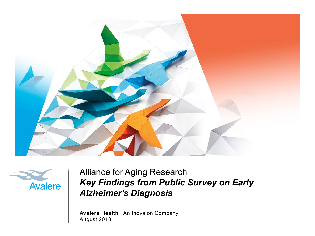



Alliance for Aging Research *Key Findings from Public Survey on Early Alzheimer's Diagnosis*

**Avalere Health** | An Inovalon Company August 2018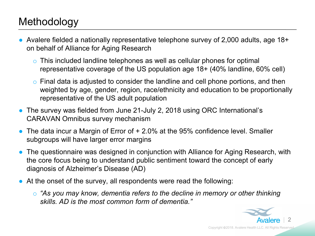### Methodology

- Avalere fielded a nationally representative telephone survey of 2,000 adults, age  $18+$ on behalf of Alliance for Aging Research
	- o This included landline telephones as well as cellular phones for optimal representative coverage of the US population age 18+ (40% landline, 60% cell)
	- o Final data is adjusted to consider the landline and cell phone portions, and then weighted by age, gender, region, race/ethnicity and education to be proportionally representative of the US adult population
- The survey was fielded from June 21-July 2, 2018 using ORC International's CARAVAN Omnibus survey mechanism
- The data incur a Margin of Error of + 2.0% at the 95% confidence level. Smaller subgroups will have larger error margins
- The questionnaire was designed in conjunction with Alliance for Aging Research, with the core focus being to understand public sentiment toward the concept of early diagnosis of Alzheimer's Disease (AD)
- At the onset of the survey, all respondents were read the following:
	- o *"As you may know, dementia refers to the decline in memory or other thinking skills. AD is the most common form of dementia."*

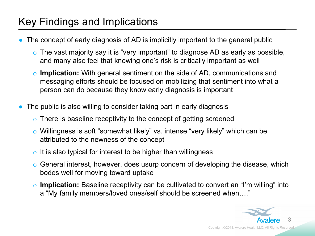### Key Findings and Implications

- The concept of early diagnosis of AD is implicitly important to the general public
	- o The vast majority say it is "very important" to diagnose AD as early as possible, and many also feel that knowing one's risk is critically important as well
	- o **Implication:** With general sentiment on the side of AD, communications and messaging efforts should be focused on mobilizing that sentiment into what a person can do because they know early diagnosis is important
- The public is also willing to consider taking part in early diagnosis
	- o There is baseline receptivity to the concept of getting screened
	- o Willingness is soft "somewhat likely" vs. intense "very likely" which can be attributed to the newness of the concept
	- o It is also typical for interest to be higher than willingness
	- o General interest, however, does usurp concern of developing the disease, which bodes well for moving toward uptake
	- o **Implication:** Baseline receptivity can be cultivated to convert an "I'm willing" into a "My family members/loved ones/self should be screened when…."

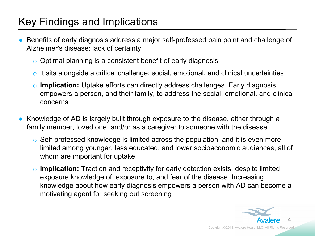### Key Findings and Implications

- Benefits of early diagnosis address a major self-professed pain point and challenge of Alzheimer's disease: lack of certainty
	- o Optimal planning is a consistent benefit of early diagnosis
	- o It sits alongside a critical challenge: social, emotional, and clinical uncertainties
	- o **Implication:** Uptake efforts can directly address challenges. Early diagnosis empowers a person, and their family, to address the social, emotional, and clinical concerns
- Knowledge of AD is largely built through exposure to the disease, either through a family member, loved one, and/or as a caregiver to someone with the disease
	- o Self-professed knowledge is limited across the population, and it is even more limited among younger, less educated, and lower socioeconomic audiences, all of whom are important for uptake
	- o **Implication:** Traction and receptivity for early detection exists, despite limited exposure knowledge of, exposure to, and fear of the disease. Increasing knowledge about how early diagnosis empowers a person with AD can become a motivating agent for seeking out screening

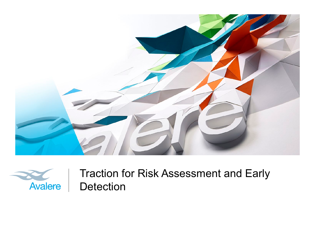



Traction for Risk Assessment and Early Detection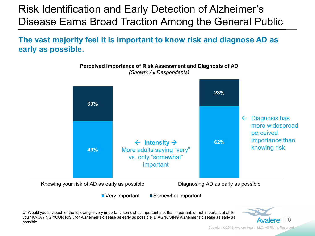# Risk Identification and Early Detection of Alzheimer's Disease Earns Broad Traction Among the General Public

**The vast majority feel it is important to know risk and diagnose AD as early as possible.**

**Perceived Importance of Risk Assessment and Diagnosis of AD**



Q: Would you say each of the following is very important, somewhat important, not that important, or not important at all to you? KNOWING YOUR RISK for Alzheimer's disease as early as possible; DIAGNOSING Alzheimer's disease as early as possible

Copyright ©2018. Avalere Health LLC. All Rights Reserved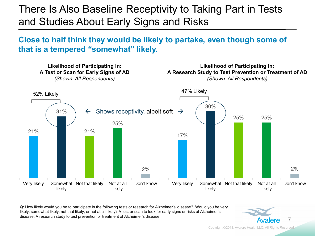### There Is Also Baseline Receptivity to Taking Part in Tests and Studies About Early Signs and Risks

#### **Close to half think they would be likely to partake, even though some of that is a tempered "somewhat" likely.**



Q: How likely would you be to participate in the following tests or research for Alzheimer's disease? Would you be very likely, somewhat likely, not that likely, or not at all likely? A test or scan to look for early signs or risks of Alzheimer's disease; A research study to test prevention or treatment of Alzheimer's disease



Copyright ©2018. Avalere Health LLC. All Rights Reserved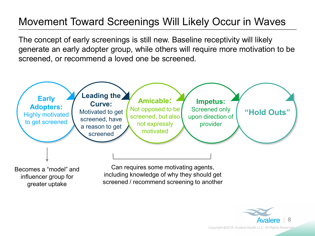# Movement Toward Screenings Will Likely Occur in Waves

The concept of early screenings is still new. Baseline receptivity will likely generate an early adopter group, while others will require more motivation to be screened, or recommend a loved one be screened.



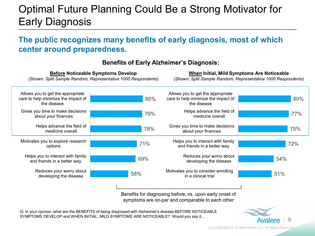# Optimal Future Planning Could Be a Strong Motivator for Early Diagnosis

#### **The public recognizes many benefits of early diagnosis, most of which center around preparedness.**



#### **Benefits of Early Alzheimer's Diagnosis:**

Benefits for diagnosing before, vs. upon early onset of symptoms are on-par and comparable to each other

Q: In your opinion, what are the BENEFITS of being diagnosed with Alzheimer's disease BEFORE NOTICEABLE SYMPTOMS DEVELOP and WHEN INITIAL, MILD SYMPTOMS ARE NOTICEABLE? Would you say it…



Copyright 2018. Avalere Health LLC. All Rights Reserved.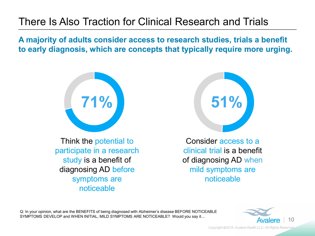### There Is Also Traction for Clinical Research and Trials

**A majority of adults consider access to research studies, trials a benefit to early diagnosis, which are concepts that typically require more urging.**



Think the potential to participate in a research study is a benefit of diagnosing AD before symptoms are noticeable



Consider access to a clinical trial is a benefit of diagnosing AD when mild symptoms are noticeable

Q: In your opinion, what are the BENEFITS of being diagnosed with Alzheimer's disease BEFORE NOTICEABLE SYMPTOMS DEVELOP and WHEN INITIAL, MILD SYMPTOMS ARE NOTICEABLE? Would you say it…



Copyright ©2018. Avalere Health LLC. All Rights Reserved.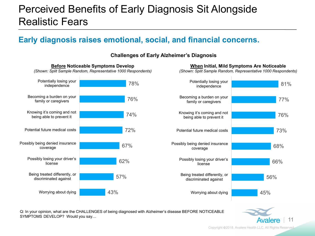### Perceived Benefits of Early Diagnosis Sit Alongside Realistic Fears

#### **Early diagnosis raises emotional, social, and financial concerns.**

78% 76% 74% 72% 67% 62% 57% 43% Potentially losing your independence Becoming a burden on your family or caregivers Knowing it's coming and not being able to prevent it Potential future medical costs Possibly being denied insurance coverage Possibly losing your driver's license Being treated differently, or discriminated against Worrying about dying 81% 77% 76% 73% 68% 66% 56% 45% Potentially losing your independence Becoming a burden on your family or caregivers Knowing it's coming and not being able to prevent it Potential future medical costs Possibly being denied insurance coverage Possibly losing your driver's license Being treated differently, or discriminated against Worrying about dying **Before Noticeable Symptoms Develop** *(Shown: Split Sample Random, Representative 1000 Respondents)* **When Initial, Mild Symptoms Are Noticeable**

**Challenges of Early Alzheimer's Diagnosis**

Q: In your opinion, what are the CHALLENGES of being diagnosed with Alzheimer's disease BEFORE NOTICEABLE SYMPTOMS DEVELOP? Would you say…

Copyright 2018. Avalere Health LLC. All Rights Reserved.

Avalere

11

*(Shown: Split Sample Random, Representative 1000 Respondents)*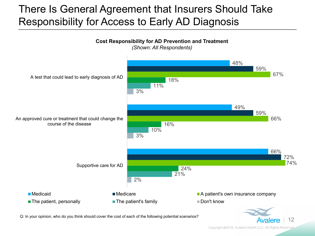### There Is General Agreement that Insurers Should Take Responsibility for Access to Early AD Diagnosis



Q: In your opinion, who do you think should cover the cost of each of the following potential scenarios?<br>
Avalence 12

Copyright ©2018. Avalere Health LLC. All Rights Reserved.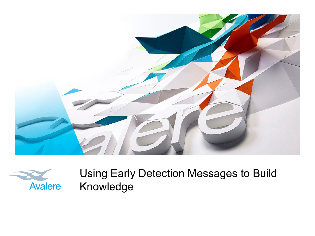



Using Early Detection Messages to Build Knowledge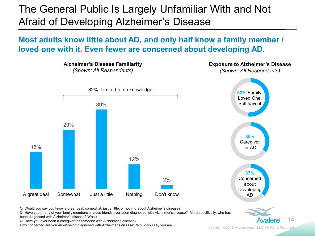The General Public Is Largely Unfamiliar With and Not Afraid of Developing Alzheimer's Disease

**Most adults know little about AD, and only half know a family member / loved one with it. Even fewer are concerned about developing AD.**



Q: Would you say you know a great deal, somewhat, just a little, or nothing about Alzheimer's disease?

Q: Have you or any of your family members or close friends ever been diagnosed with Alzheimer's disease? More specifically, who has been diagnosed with Alzheimer's disease? Was it…

Q: Have you ever been a caregiver for someone with Alzheimer's disease?

How concerned are you about being diagnosed with Alzheimer's disease? Would you say you are…

**Avalere** 

14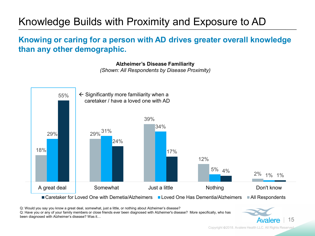# Knowledge Builds with Proximity and Exposure to AD

#### **Knowing or caring for a person with AD drives greater overall knowledge than any other demographic.**

**Alzheimer's Disease Familiarity**

*(Shown: All Respondents by Disease Proximity)* 



Q: Would you say you know a great deal, somewhat, just a little, or nothing about Alzheimer's disease?

Q: Have you or any of your family members or close friends ever been diagnosed with Alzheimer's disease? More specifically, who has been diagnosed with Alzheimer's disease? Was it…

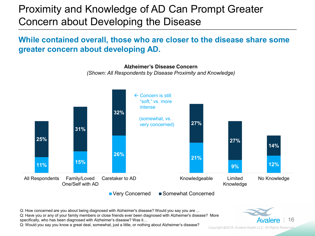### Proximity and Knowledge of AD Can Prompt Greater Concern about Developing the Disease

#### **While contained overall, those who are closer to the disease share some greater concern about developing AD.**

**11% 15% 26% 21% 9% 12% 25% 31% 32% 27% 27% 14%** All Respondents Family/Loved One/Self with AD Caretaker to AD Knowledgeable Limited Knowledge No Knowledge **Alzheimer's Disease Concern** *(Shown: All Respondents by Disease Proximity and Knowledge)*  $\leftarrow$  Concern is still "soft," vs. more intense (somewhat, vs. very concerned)

■ Very Concerned ■ Somewhat Concerned

Q: How concerned are you about being diagnosed with Alzheimer's disease? Would you say you are ... Q: Have you or any of your family members or close friends ever been diagnosed with Alzheimer's disease? More specifically, who has been diagnosed with Alzheimer's disease? Was it…

Q: Would you say you know a great deal, somewhat, just a little, or nothing about Alzheimer's disease?



Copyright 2018. Avalere Health LLC. All Rights Reserved.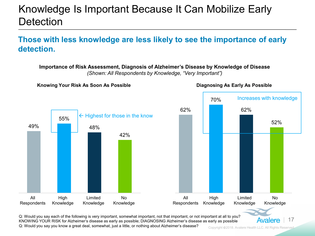### Knowledge Is Important Because It Can Mobilize Early **Detection**

#### **Those with less knowledge are less likely to see the importance of early detection.**

**Importance of Risk Assessment, Diagnosis of Alzheimer's Disease by Knowledge of Disease** 



*(Shown: All Respondents by Knowledge, "Very Important")*

Q: Would you say each of the following is very important, somewhat important, not that important, or not important at all to you?<br>KNOWING YOUR RISK for Alzheimer's disease as early as possible; DIAGNOSING Alzheimer's disea Q: Would you say you know a great deal, somewhat, just a little, or nothing about Alzheimer's disease?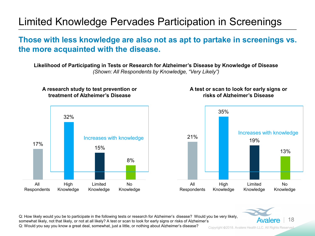## Limited Knowledge Pervades Participation in Screenings

#### **Those with less knowledge are also not as apt to partake in screenings vs. the more acquainted with the disease.**

**Likelihood of Participating in Tests or Research for Alzheimer's Disease by Knowledge of Disease**  *(Shown: All Respondents by Knowledge, "Very Likely")*

#### **A research study to test prevention or treatment of Alzheimer's Disease**



#### **A test or scan to look for early signs or risks of Alzheimer's Disease**





Q: How likely would you be to participate in the following tests or research for Alzheimer's disease? Would you be very likely,<br>somewhat likely, not that likely, or not at all likely? A test or scan to look for early signs Q: Would you say you know a great deal, somewhat, just a little, or nothing about Alzheimer's disease?

Copyright 2018. Avalere Health LLC. All Rights Reserved.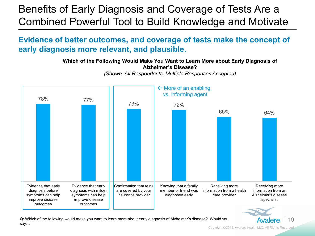### Benefits of Early Diagnosis and Coverage of Tests Are a Combined Powerful Tool to Build Knowledge and Motivate

#### **Evidence of better outcomes, and coverage of tests make the concept of early diagnosis more relevant, and plausible.**

**Which of the Following Would Make You Want to Learn More about Early Diagnosis of Alzheimer's Disease?**



*(Shown: All Respondents, Multiple Responses Accepted)*



Q: Which of the following would make you want to learn more about early diagnosis of Alzheimer's disease? Would you **Avalere** 19 say…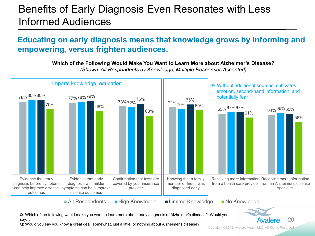#### Benefits of Early Diagnosis Even Resonates with Less Informed Audiences

#### **Educating on early diagnosis means that knowledge grows by informing and empowering, versus frighten audiences.**

**Which of the Following Would Make You Want to Learn More about Alzheimer's Disease?**

78% 80% 80%  $73\%72\%$  76% 72% 70%  $\begin{array}{|c|c|c|c|c|}\n\hline\n\text{63\%} & & & \text{72\%70\%} & \text{69\%} \\
\hline\n\text{63\%} & & & \text{65\%} & \text{67\%} & \text{67\%} \\
\hline\n\end{array}$ 80%80% 77%78%<sup>79%</sup> 73%<sub>73%</sub> 76% 76% 75% 64% 66% 65% 70% and the contract of the 68% 63% 69% 61% 56% Evidence that early diagnosis before symptoms can help improve disease symptoms can help improve outcomes Evidence that early diagnosis with milder disease outcomes Confirmation that tests are covered by your insurance provider Knowing that a family member or friend was diagnosed early Receiving more information Receiving more information from a health care provider from an Alzheimer's disease specialist  $\blacksquare$  All Respondents  $\blacksquare$  High Knowledge  $\blacksquare$  Limited Knowledge  $\blacksquare$  No Knowledge Imparts knowledge, education  $\left|\begin{matrix} \cdot & \cdot & \cdot \\ \cdot & \cdot & \cdot \\ \cdot & \cdot & \cdot \end{matrix}\right|$   $\leftarrow$  Without additional sources, cultivates emotion, second-hand information, and potentially fear

*(Shown: All Respondents by Knowledge, Multiple Responses Accepted)*

Q: Which of the following would make you want to learn more about early diagnosis of Alzheimer's disease? Would you say…

Q: Would you say you know a great deal, somewhat, just a little, or nothing about Alzheimer's disease?

Copyright 2018. Avalere Health LLC. All Rights Reserved.

**Avalere** 

20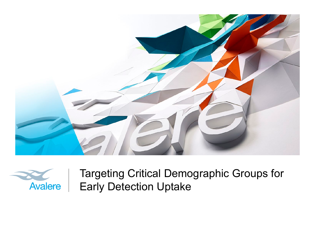



Targeting Critical Demographic Groups for Early Detection Uptake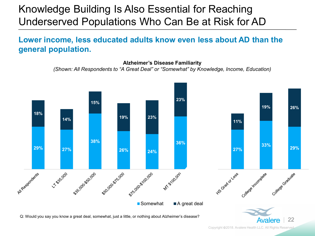### Knowledge Building Is Also Essential for Reaching Underserved Populations Who Can Be at Risk for AD

#### **Lower income, less educated adults know even less about AD than the general population.**

**Alzheimer's Disease Familiarity**  *(Shown: All Respondents to "A Great Deal" or "Somewhat" by Knowledge, Income, Education)* 



Copyright ©2018. Avalere Health LLC. All Rights Reserved.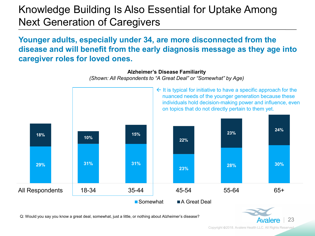### Knowledge Building Is Also Essential for Uptake Among Next Generation of Caregivers

#### **Younger adults, especially under 34, are more disconnected from the disease and will benefit from the early diagnosis message as they age into caregiver roles for loved ones.**



Q: Would you say you know a great deal, somewhat, just a little, or nothing about Alzheimer's disease?<br>**Avalere** 23

Copyright 2018. Avalere Health LLC. All Rights Reserved.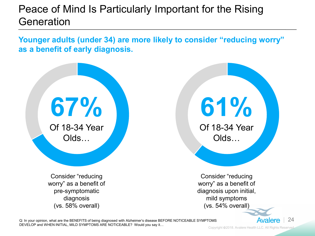### Peace of Mind Is Particularly Important for the Rising Generation

**Younger adults (under 34) are more likely to consider "reducing worry" as a benefit of early diagnosis.** 

**67%**  Of 18-34 Year Olds…

> Consider "reducing worry" as a benefit of pre-symptomatic diagnosis (vs. 58% overall)

**61%** 

Of 18-34 Year Olds…

Consider "reducing worry" as a benefit of diagnosis upon initial, mild symptoms (vs. 54% overall)

Q: In your opinion, what are the BENEFITS of being diagnosed with Alzheimer's disease BEFORE NOTICEABLE SYMPTOMS DEVELOP and WHEN INITIAL, MILD SYMPTOMS ARE NOTICEABLE? Would you say it…

Copyright ©2018. Avalere Health LLC. All Rights Reserved.

**Avalere** 

24